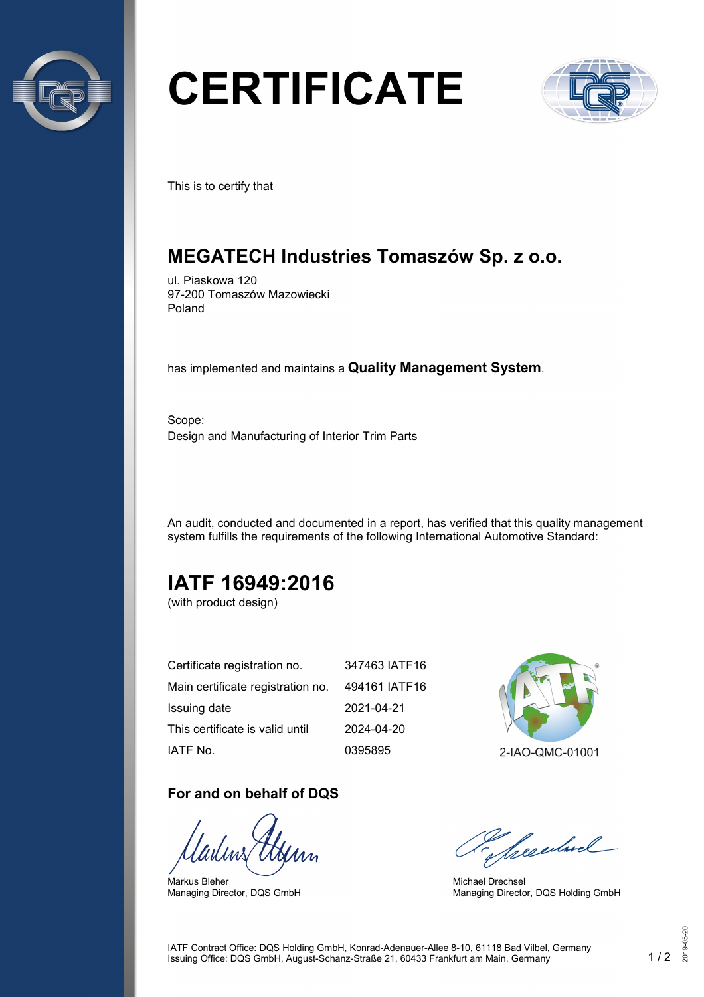

# **CERTIFICATE**



This is to certify that

## **MEGATECH Industries Tomaszów Sp. z o.o.**

ul. Piaskowa 120 97-200 Tomaszów Mazowiecki Poland

has implemented and maintains a **Quality Management System**.

Scope: Design and Manufacturing of Interior Trim Parts

An audit, conducted and documented in a report, has verified that this quality management system fulfills the requirements of the following International Automotive Standard:

# **IATF 16949:2016**

(with product design)

| Certificate registration no.      | 347463 IATF16 |
|-----------------------------------|---------------|
| Main certificate registration no. | 494161 IATF16 |
| Issuing date                      | 2021-04-21    |
| This certificate is valid until   | 2024-04-20    |
| IATF No.                          | 0395895       |

#### **For and on behalf of DQS**

Markus Bleher Managing Director, DQS GmbH



2-IAO-QMC-01001

Seculard

Michael Drechsel Managing Director, DQS Holding GmbH

IATF Contract Office: DQS Holding GmbH, Konrad-Adenauer-Allee 8-10, 61118 Bad Vilbel, Germany Issuing Office: DQS GmbH, August-Schanz-Straße 21, 60433 Frankfurt am Main, Germany 1 / 2